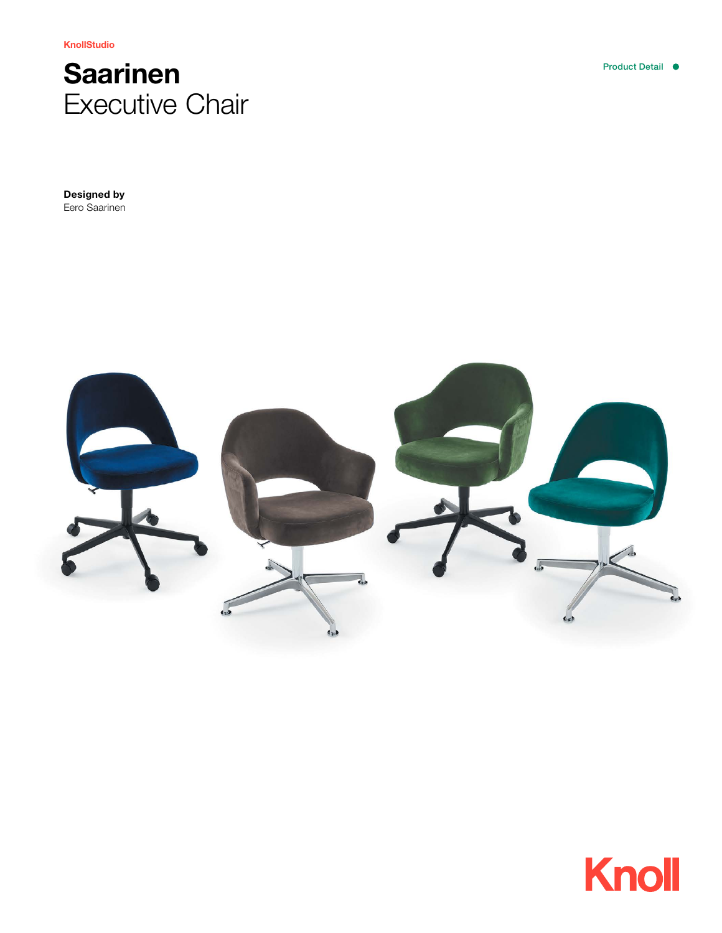KnollStudio



Designed by Eero Saarinen